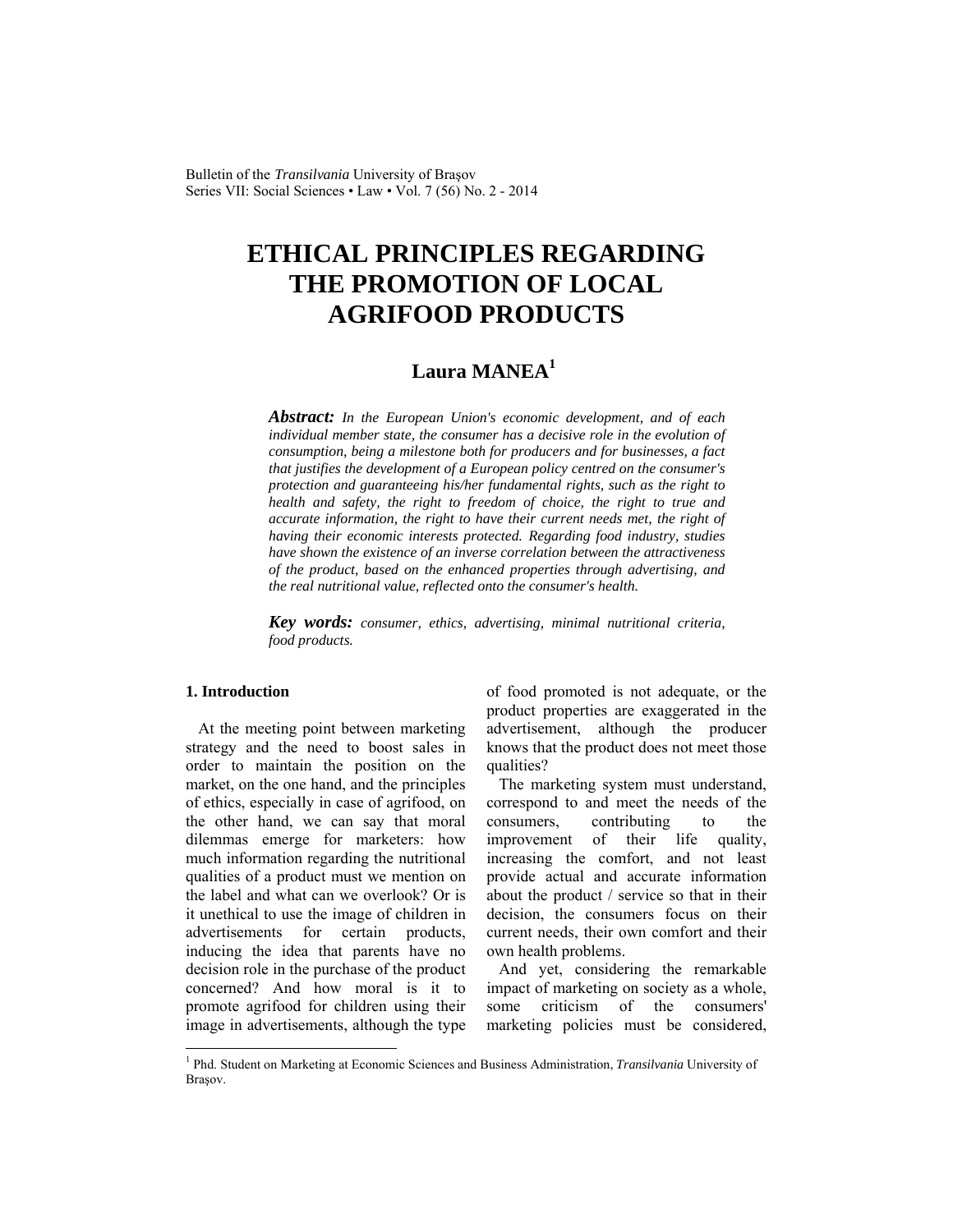Bulletin of the *Transilvania* University of Braşov Series VII: Social Sciences • Law • Vol. 7 (56) No. 2 - 2014

# **ETHICAL PRINCIPLES REGARDING THE PROMOTION OF LOCAL AGRIFOOD PRODUCTS**

# **Laura MANEA<sup>1</sup>**

*Abstract: In the European Union's economic development, and of each individual member state, the consumer has a decisive role in the evolution of consumption, being a milestone both for producers and for businesses, a fact that justifies the development of a European policy centred on the consumer's protection and guaranteeing his/her fundamental rights, such as the right to health and safety, the right to freedom of choice, the right to true and accurate information, the right to have their current needs met, the right of having their economic interests protected. Regarding food industry, studies have shown the existence of an inverse correlation between the attractiveness of the product, based on the enhanced properties through advertising, and the real nutritional value, reflected onto the consumer's health.* 

*Key words: consumer, ethics, advertising, minimal nutritional criteria, food products.*

## **1. Introduction**

 $\overline{\phantom{a}}$ 

At the meeting point between marketing strategy and the need to boost sales in order to maintain the position on the market, on the one hand, and the principles of ethics, especially in case of agrifood, on the other hand, we can say that moral dilemmas emerge for marketers: how much information regarding the nutritional qualities of a product must we mention on the label and what can we overlook? Or is it unethical to use the image of children in advertisements for certain products, inducing the idea that parents have no decision role in the purchase of the product concerned? And how moral is it to promote agrifood for children using their image in advertisements, although the type of food promoted is not adequate, or the product properties are exaggerated in the advertisement, although the producer knows that the product does not meet those qualities?

The marketing system must understand, correspond to and meet the needs of the consumers, contributing to the improvement of their life quality, increasing the comfort, and not least provide actual and accurate information about the product / service so that in their decision, the consumers focus on their current needs, their own comfort and their own health problems.

And yet, considering the remarkable impact of marketing on society as a whole, some criticism of the consumers' marketing policies must be considered,

<sup>&</sup>lt;sup>1</sup> Phd. Student on Marketing at Economic Sciences and Business Administration, *Transilvania* University of Braşov.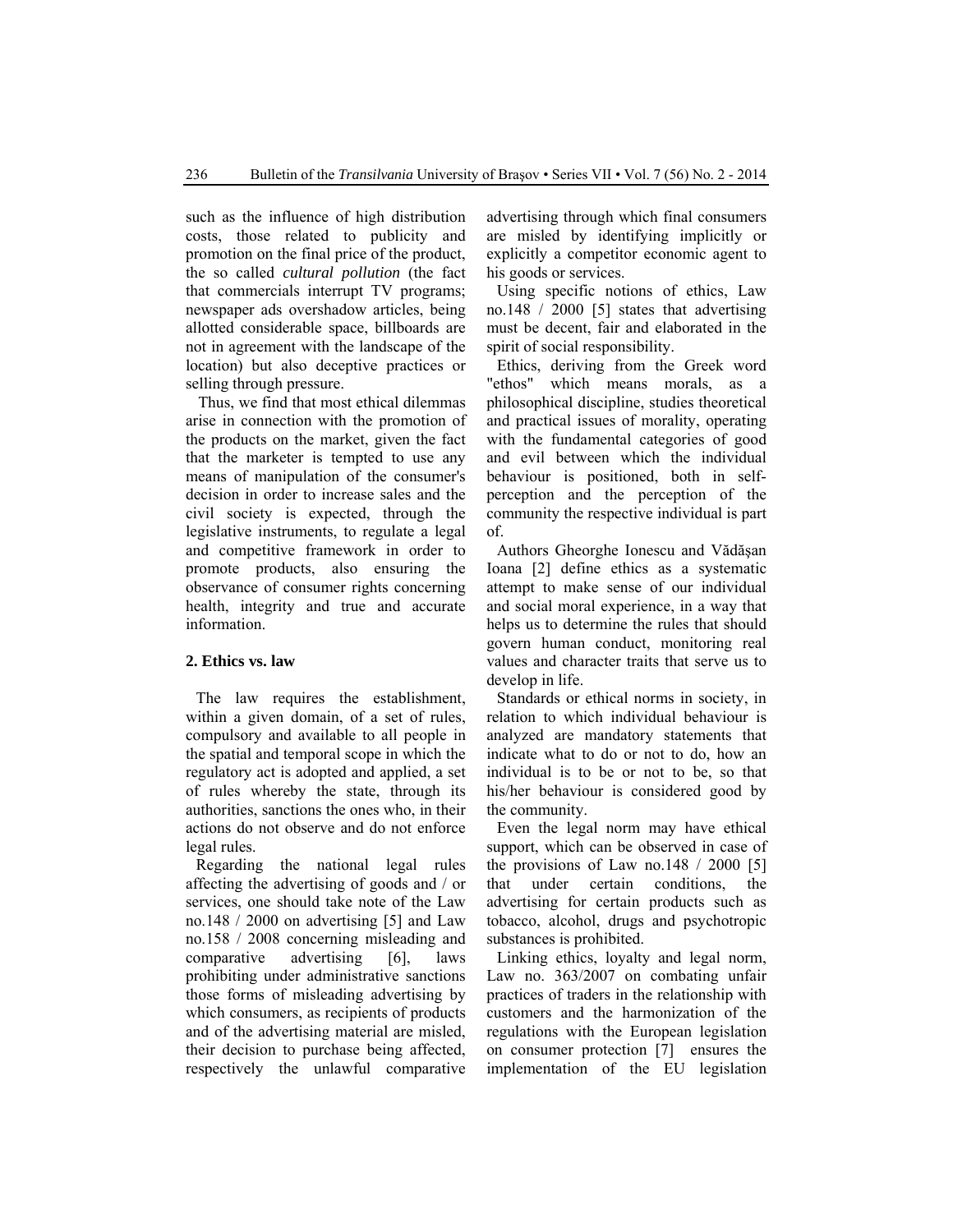such as the influence of high distribution costs, those related to publicity and promotion on the final price of the product, the so called *cultural pollution* (the fact that commercials interrupt TV programs; newspaper ads overshadow articles, being allotted considerable space, billboards are not in agreement with the landscape of the location) but also deceptive practices or selling through pressure.

Thus, we find that most ethical dilemmas arise in connection with the promotion of the products on the market, given the fact that the marketer is tempted to use any means of manipulation of the consumer's decision in order to increase sales and the civil society is expected, through the legislative instruments, to regulate a legal and competitive framework in order to promote products, also ensuring the observance of consumer rights concerning health, integrity and true and accurate information.

#### **2. Ethics vs. law**

The law requires the establishment, within a given domain, of a set of rules, compulsory and available to all people in the spatial and temporal scope in which the regulatory act is adopted and applied, a set of rules whereby the state, through its authorities, sanctions the ones who, in their actions do not observe and do not enforce legal rules.

Regarding the national legal rules affecting the advertising of goods and / or services, one should take note of the Law no.148 / 2000 on advertising [5] and Law no.158 / 2008 concerning misleading and comparative advertising [6], laws prohibiting under administrative sanctions those forms of misleading advertising by which consumers, as recipients of products and of the advertising material are misled, their decision to purchase being affected, respectively the unlawful comparative advertising through which final consumers are misled by identifying implicitly or explicitly a competitor economic agent to his goods or services.

Using specific notions of ethics, Law no.148 / 2000 [5] states that advertising must be decent, fair and elaborated in the spirit of social responsibility.

Ethics, deriving from the Greek word "ethos" which means morals, as a philosophical discipline, studies theoretical and practical issues of morality, operating with the fundamental categories of good and evil between which the individual behaviour is positioned, both in selfperception and the perception of the community the respective individual is part of.

Authors Gheorghe Ionescu and Vădăşan Ioana [2] define ethics as a systematic attempt to make sense of our individual and social moral experience, in a way that helps us to determine the rules that should govern human conduct, monitoring real values and character traits that serve us to develop in life.

Standards or ethical norms in society, in relation to which individual behaviour is analyzed are mandatory statements that indicate what to do or not to do, how an individual is to be or not to be, so that his/her behaviour is considered good by the community.

Even the legal norm may have ethical support, which can be observed in case of the provisions of Law no.148  $/$  2000 [5] that under certain conditions, the advertising for certain products such as tobacco, alcohol, drugs and psychotropic substances is prohibited.

Linking ethics, loyalty and legal norm, Law no. 363/2007 on combating unfair practices of traders in the relationship with customers and the harmonization of the regulations with the European legislation on consumer protection [7] ensures the implementation of the EU legislation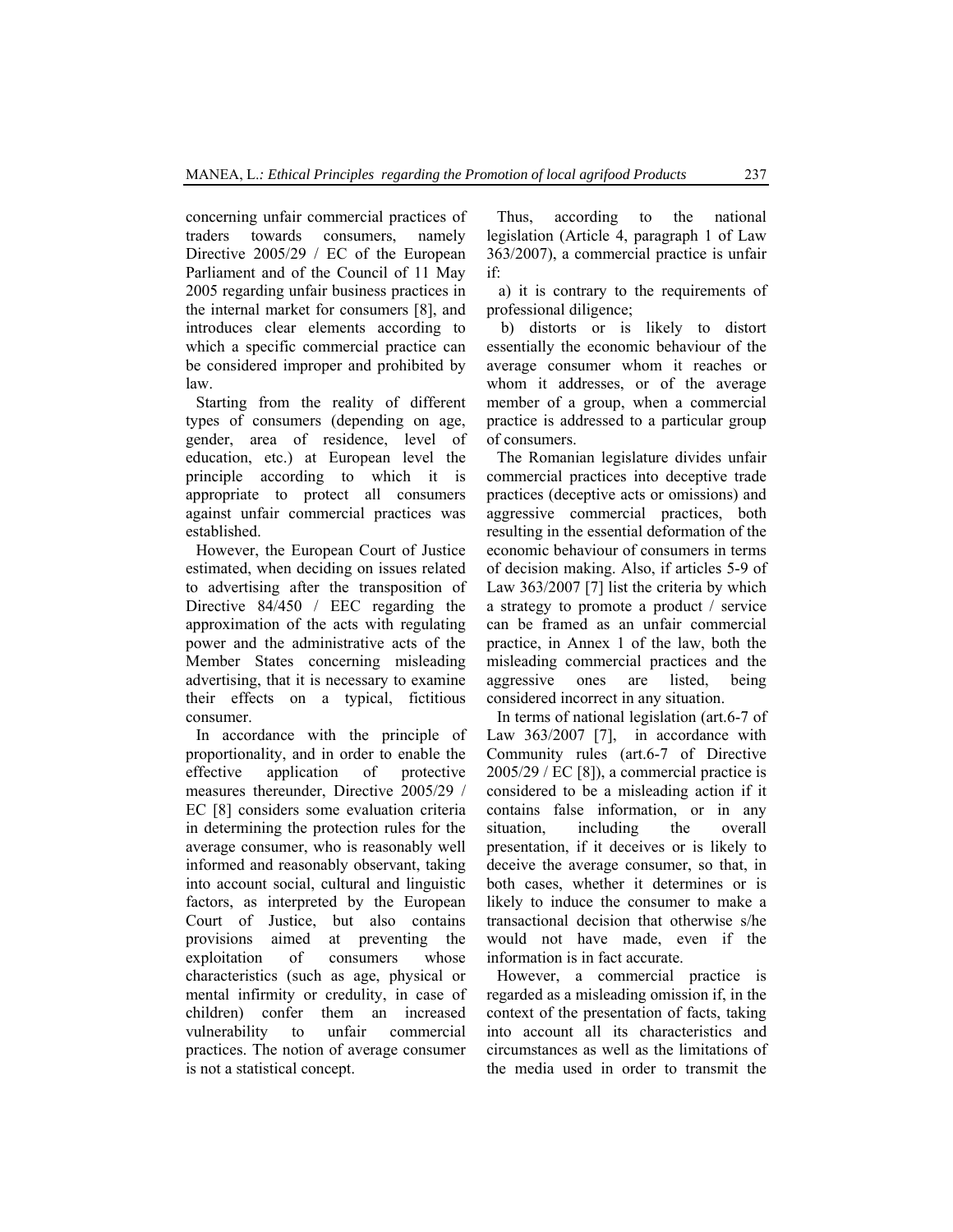concerning unfair commercial practices of traders towards consumers, namely Directive 2005/29 / EC of the European Parliament and of the Council of 11 May 2005 regarding unfair business practices in the internal market for consumers [8], and introduces clear elements according to which a specific commercial practice can be considered improper and prohibited by law.

Starting from the reality of different types of consumers (depending on age, gender, area of residence, level of education, etc.) at European level the principle according to which it is appropriate to protect all consumers against unfair commercial practices was established.

However, the European Court of Justice estimated, when deciding on issues related to advertising after the transposition of Directive 84/450 / EEC regarding the approximation of the acts with regulating power and the administrative acts of the Member States concerning misleading advertising, that it is necessary to examine their effects on a typical, fictitious consumer.

In accordance with the principle of proportionality, and in order to enable the effective application of protective measures thereunder, Directive 2005/29 / EC [8] considers some evaluation criteria in determining the protection rules for the average consumer, who is reasonably well informed and reasonably observant, taking into account social, cultural and linguistic factors, as interpreted by the European Court of Justice, but also contains provisions aimed at preventing the exploitation of consumers whose characteristics (such as age, physical or mental infirmity or credulity, in case of children) confer them an increased vulnerability to unfair commercial practices. The notion of average consumer is not a statistical concept.

Thus, according to the national legislation (Article 4, paragraph 1 of Law 363/2007), a commercial practice is unfair if:

 a) it is contrary to the requirements of professional diligence;

 b) distorts or is likely to distort essentially the economic behaviour of the average consumer whom it reaches or whom it addresses, or of the average member of a group, when a commercial practice is addressed to a particular group of consumers.

The Romanian legislature divides unfair commercial practices into deceptive trade practices (deceptive acts or omissions) and aggressive commercial practices, both resulting in the essential deformation of the economic behaviour of consumers in terms of decision making. Also, if articles 5-9 of Law 363/2007 [7] list the criteria by which a strategy to promote a product / service can be framed as an unfair commercial practice, in Annex 1 of the law, both the misleading commercial practices and the aggressive ones are listed, being considered incorrect in any situation.

In terms of national legislation (art.6-7 of Law 363/2007 [7], in accordance with Community rules (art.6-7 of Directive 2005/29 / EC [8]), a commercial practice is considered to be a misleading action if it contains false information, or in any situation, including the overall presentation, if it deceives or is likely to deceive the average consumer, so that, in both cases, whether it determines or is likely to induce the consumer to make a transactional decision that otherwise s/he would not have made, even if the information is in fact accurate.

However, a commercial practice is regarded as a misleading omission if, in the context of the presentation of facts, taking into account all its characteristics and circumstances as well as the limitations of the media used in order to transmit the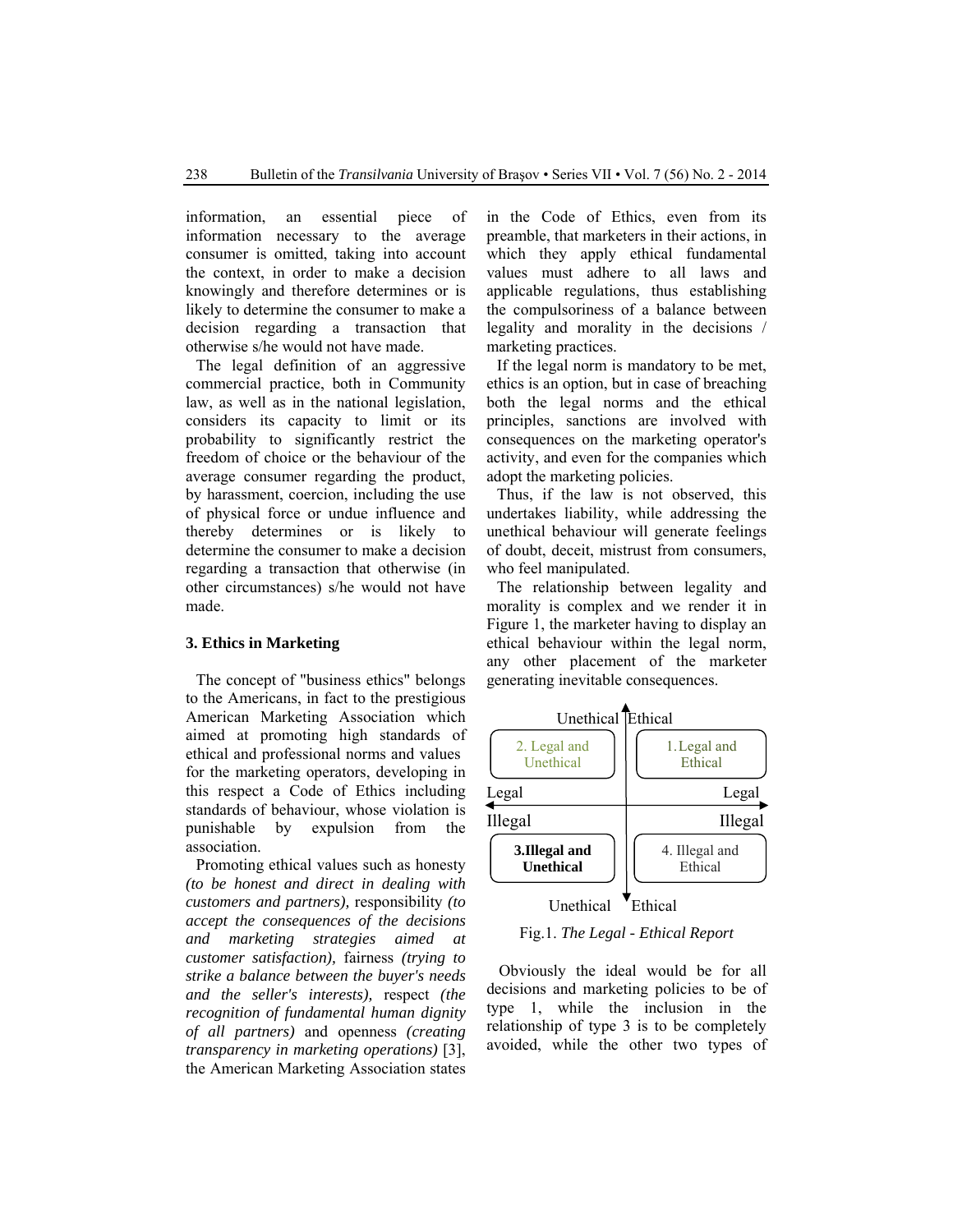information, an essential piece of information necessary to the average consumer is omitted, taking into account the context, in order to make a decision knowingly and therefore determines or is likely to determine the consumer to make a decision regarding a transaction that otherwise s/he would not have made.

The legal definition of an aggressive commercial practice, both in Community law, as well as in the national legislation, considers its capacity to limit or its probability to significantly restrict the freedom of choice or the behaviour of the average consumer regarding the product, by harassment, coercion, including the use of physical force or undue influence and thereby determines or is likely to determine the consumer to make a decision regarding a transaction that otherwise (in other circumstances) s/he would not have made.

#### **3. Ethics in Marketing**

The concept of "business ethics" belongs to the Americans, in fact to the prestigious American Marketing Association which aimed at promoting high standards of ethical and professional norms and values for the marketing operators, developing in this respect a Code of Ethics including standards of behaviour, whose violation is punishable by expulsion from the association.

Promoting ethical values such as honesty *(to be honest and direct in dealing with customers and partners),* responsibility *(to accept the consequences of the decisions and marketing strategies aimed at customer satisfaction),* fairness *(trying to strike a balance between the buyer's needs and the seller's interests),* respect *(the recognition of fundamental human dignity of all partners)* and openness *(creating transparency in marketing operations)* [3], the American Marketing Association states in the Code of Ethics, even from its preamble, that marketers in their actions, in which they apply ethical fundamental values must adhere to all laws and applicable regulations, thus establishing the compulsoriness of a balance between legality and morality in the decisions / marketing practices.

If the legal norm is mandatory to be met, ethics is an option, but in case of breaching both the legal norms and the ethical principles, sanctions are involved with consequences on the marketing operator's activity, and even for the companies which adopt the marketing policies.

Thus, if the law is not observed, this undertakes liability, while addressing the unethical behaviour will generate feelings of doubt, deceit, mistrust from consumers, who feel manipulated.

The relationship between legality and morality is complex and we render it in Figure 1, the marketer having to display an ethical behaviour within the legal norm, any other placement of the marketer generating inevitable consequences.



Fig.1. *The Legal - Ethical Report* 

Obviously the ideal would be for all decisions and marketing policies to be of type 1, while the inclusion in the relationship of type 3 is to be completely avoided, while the other two types of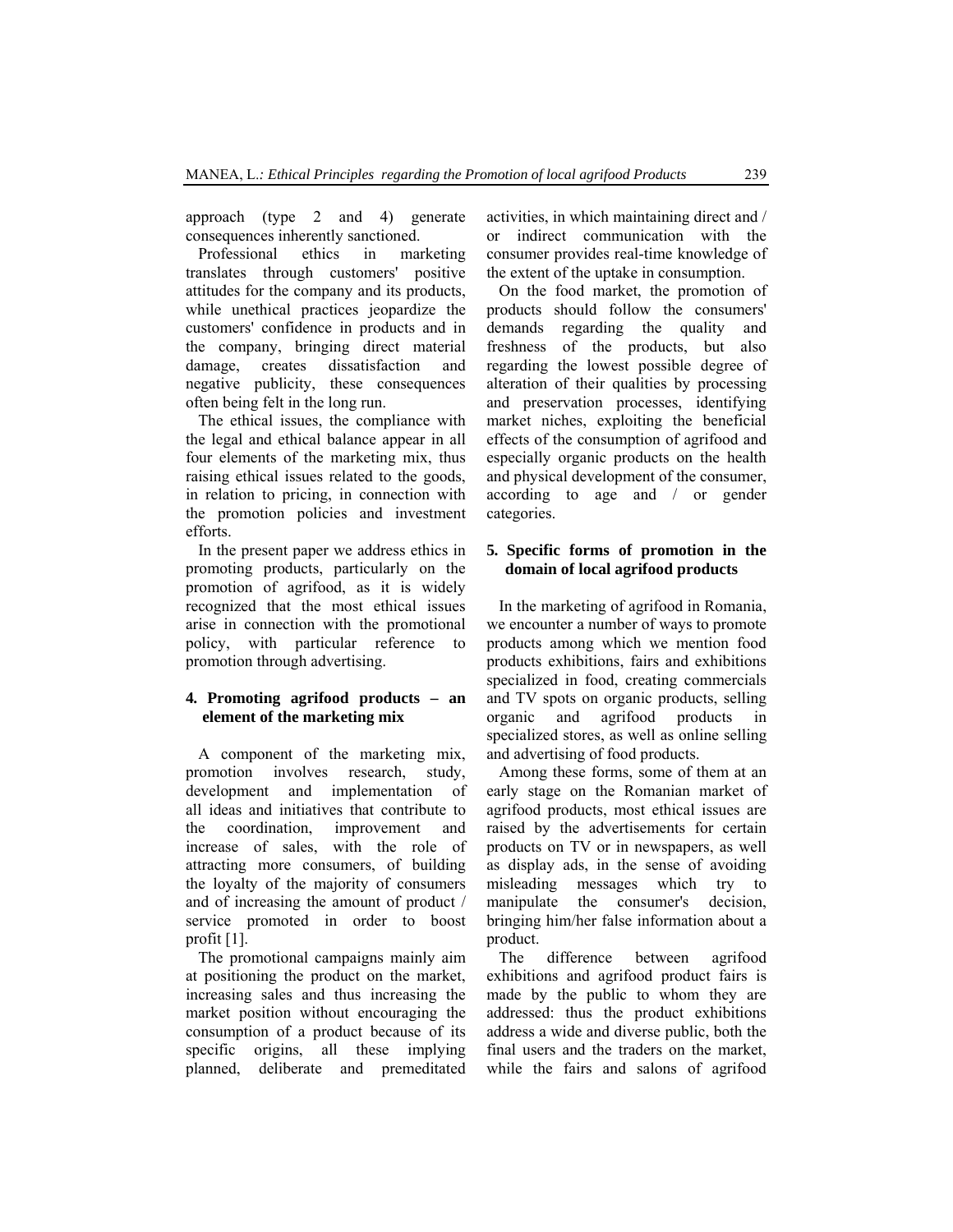approach (type 2 and 4) generate consequences inherently sanctioned.

Professional ethics in marketing translates through customers' positive attitudes for the company and its products, while unethical practices jeopardize the customers' confidence in products and in the company, bringing direct material damage, creates dissatisfaction and negative publicity, these consequences often being felt in the long run.

The ethical issues, the compliance with the legal and ethical balance appear in all four elements of the marketing mix, thus raising ethical issues related to the goods, in relation to pricing, in connection with the promotion policies and investment efforts.

In the present paper we address ethics in promoting products, particularly on the promotion of agrifood, as it is widely recognized that the most ethical issues arise in connection with the promotional policy, with particular reference to promotion through advertising.

# **4. Promoting agrifood products – an element of the marketing mix**

A component of the marketing mix, promotion involves research, study, development and implementation of all ideas and initiatives that contribute to the coordination, improvement and increase of sales, with the role of attracting more consumers, of building the loyalty of the majority of consumers and of increasing the amount of product / service promoted in order to boost profit [1].

The promotional campaigns mainly aim at positioning the product on the market, increasing sales and thus increasing the market position without encouraging the consumption of a product because of its specific origins, all these implying planned, deliberate and premeditated activities, in which maintaining direct and / or indirect communication with the consumer provides real-time knowledge of the extent of the uptake in consumption.

On the food market, the promotion of products should follow the consumers' demands regarding the quality and freshness of the products, but also regarding the lowest possible degree of alteration of their qualities by processing and preservation processes, identifying market niches, exploiting the beneficial effects of the consumption of agrifood and especially organic products on the health and physical development of the consumer, according to age and / or gender categories.

### **5. Specific forms of promotion in the domain of local agrifood products**

In the marketing of agrifood in Romania, we encounter a number of ways to promote products among which we mention food products exhibitions, fairs and exhibitions specialized in food, creating commercials and TV spots on organic products, selling organic and agrifood products in specialized stores, as well as online selling and advertising of food products.

Among these forms, some of them at an early stage on the Romanian market of agrifood products, most ethical issues are raised by the advertisements for certain products on TV or in newspapers, as well as display ads, in the sense of avoiding misleading messages which try to manipulate the consumer's decision, bringing him/her false information about a product.

The difference between agrifood exhibitions and agrifood product fairs is made by the public to whom they are addressed: thus the product exhibitions address a wide and diverse public, both the final users and the traders on the market, while the fairs and salons of agrifood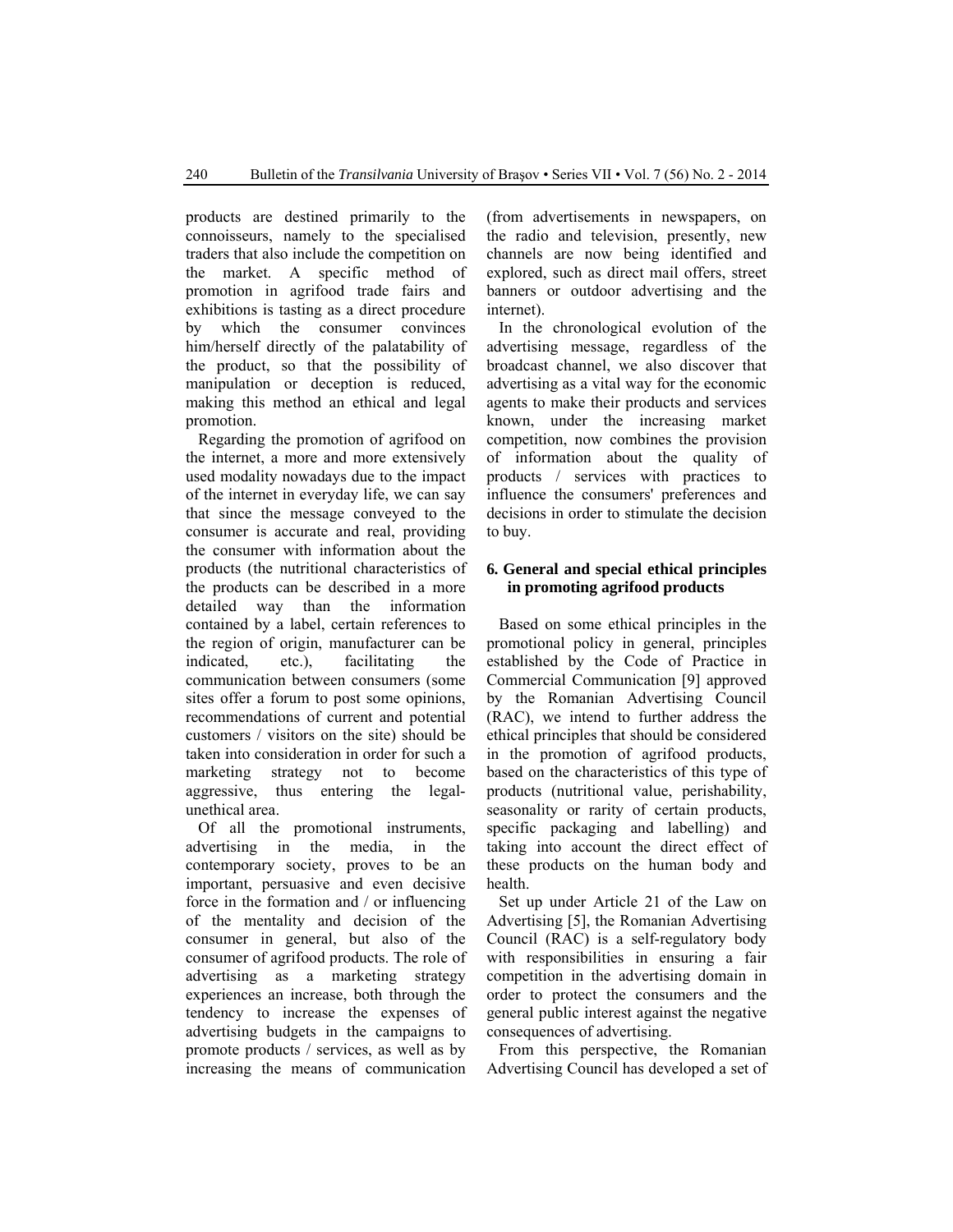products are destined primarily to the connoisseurs, namely to the specialised traders that also include the competition on the market. A specific method of promotion in agrifood trade fairs and exhibitions is tasting as a direct procedure by which the consumer convinces him/herself directly of the palatability of the product, so that the possibility of manipulation or deception is reduced, making this method an ethical and legal promotion.

Regarding the promotion of agrifood on the internet, a more and more extensively used modality nowadays due to the impact of the internet in everyday life, we can say that since the message conveyed to the consumer is accurate and real, providing the consumer with information about the products (the nutritional characteristics of the products can be described in a more detailed way than the information contained by a label, certain references to the region of origin, manufacturer can be indicated, etc.), facilitating the communication between consumers (some sites offer a forum to post some opinions, recommendations of current and potential customers / visitors on the site) should be taken into consideration in order for such a marketing strategy not to become aggressive, thus entering the legalunethical area.

Of all the promotional instruments, advertising in the media, in the contemporary society, proves to be an important, persuasive and even decisive force in the formation and / or influencing of the mentality and decision of the consumer in general, but also of the consumer of agrifood products. The role of advertising as a marketing strategy experiences an increase, both through the tendency to increase the expenses of advertising budgets in the campaigns to promote products / services, as well as by increasing the means of communication

(from advertisements in newspapers, on the radio and television, presently, new channels are now being identified and explored, such as direct mail offers, street banners or outdoor advertising and the internet).

In the chronological evolution of the advertising message, regardless of the broadcast channel, we also discover that advertising as a vital way for the economic agents to make their products and services known, under the increasing market competition, now combines the provision of information about the quality of products / services with practices to influence the consumers' preferences and decisions in order to stimulate the decision to buy.

# **6. General and special ethical principles in promoting agrifood products**

Based on some ethical principles in the promotional policy in general, principles established by the Code of Practice in Commercial Communication [9] approved by the Romanian Advertising Council (RAC), we intend to further address the ethical principles that should be considered in the promotion of agrifood products, based on the characteristics of this type of products (nutritional value, perishability, seasonality or rarity of certain products, specific packaging and labelling) and taking into account the direct effect of these products on the human body and health.

Set up under Article 21 of the Law on Advertising [5], the Romanian Advertising Council (RAC) is a self-regulatory body with responsibilities in ensuring a fair competition in the advertising domain in order to protect the consumers and the general public interest against the negative consequences of advertising.

From this perspective, the Romanian Advertising Council has developed a set of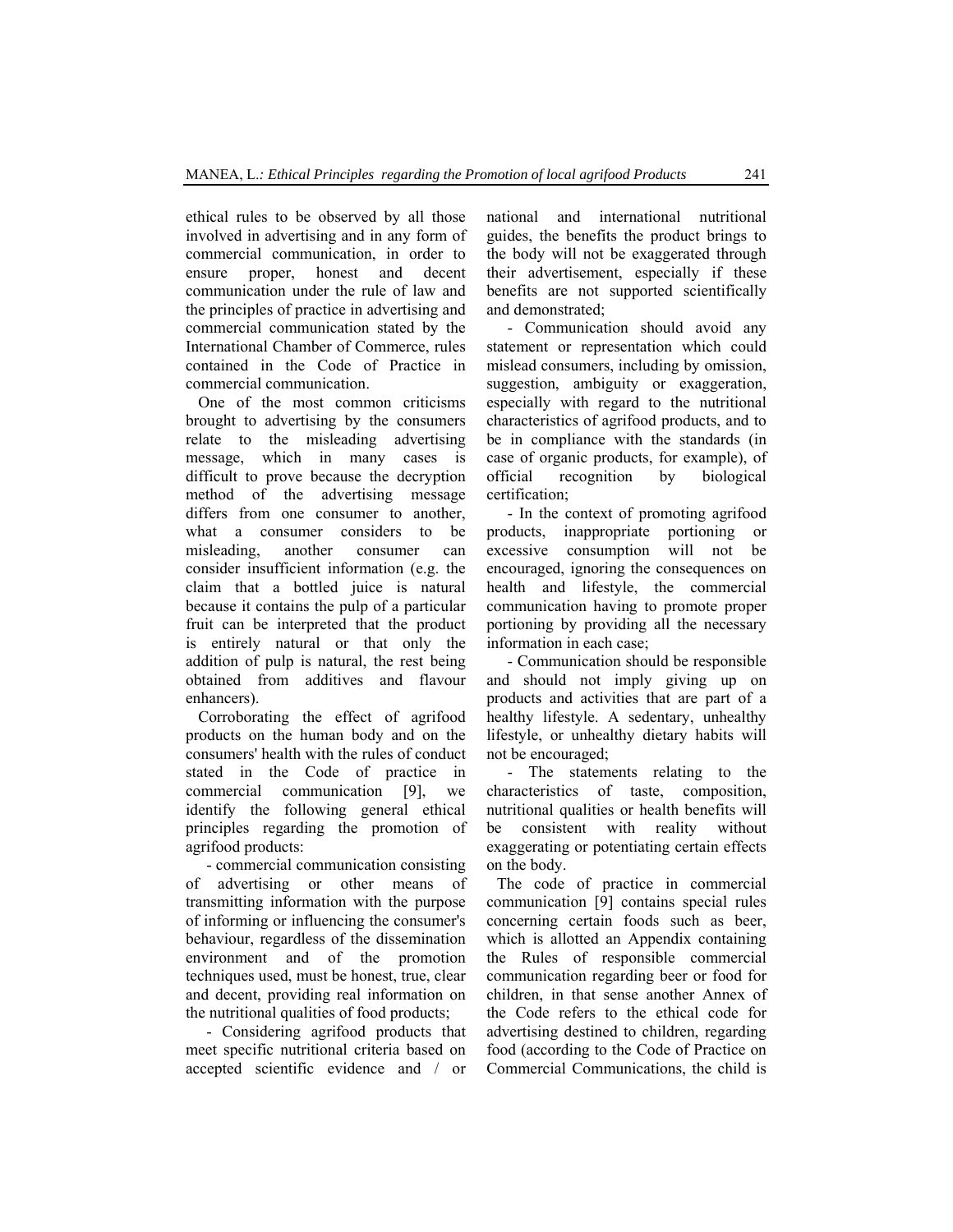ethical rules to be observed by all those involved in advertising and in any form of commercial communication, in order to ensure proper, honest and decent communication under the rule of law and the principles of practice in advertising and commercial communication stated by the International Chamber of Commerce, rules contained in the Code of Practice in commercial communication.

One of the most common criticisms brought to advertising by the consumers relate to the misleading advertising message, which in many cases is difficult to prove because the decryption method of the advertising message differs from one consumer to another, what a consumer considers to be misleading, another consumer can consider insufficient information (e.g. the claim that a bottled juice is natural because it contains the pulp of a particular fruit can be interpreted that the product is entirely natural or that only the addition of pulp is natural, the rest being obtained from additives and flavour enhancers).

Corroborating the effect of agrifood products on the human body and on the consumers' health with the rules of conduct stated in the Code of practice in commercial communication [9], we identify the following general ethical principles regarding the promotion of agrifood products:

- commercial communication consisting of advertising or other means of transmitting information with the purpose of informing or influencing the consumer's behaviour, regardless of the dissemination environment and of the promotion techniques used, must be honest, true, clear and decent, providing real information on the nutritional qualities of food products;

- Considering agrifood products that meet specific nutritional criteria based on accepted scientific evidence and / or national and international nutritional guides, the benefits the product brings to the body will not be exaggerated through their advertisement, especially if these benefits are not supported scientifically and demonstrated;

- Communication should avoid any statement or representation which could mislead consumers, including by omission, suggestion, ambiguity or exaggeration, especially with regard to the nutritional characteristics of agrifood products, and to be in compliance with the standards (in case of organic products, for example), of official recognition by biological certification;

- In the context of promoting agrifood products, inappropriate portioning or excessive consumption will not be encouraged, ignoring the consequences on health and lifestyle, the commercial communication having to promote proper portioning by providing all the necessary information in each case;

- Communication should be responsible and should not imply giving up on products and activities that are part of a healthy lifestyle. A sedentary, unhealthy lifestyle, or unhealthy dietary habits will not be encouraged;

- The statements relating to the characteristics of taste, composition, nutritional qualities or health benefits will be consistent with reality without exaggerating or potentiating certain effects on the body.

The code of practice in commercial communication [9] contains special rules concerning certain foods such as beer, which is allotted an Appendix containing the Rules of responsible commercial communication regarding beer or food for children, in that sense another Annex of the Code refers to the ethical code for advertising destined to children, regarding food (according to the Code of Practice on Commercial Communications, the child is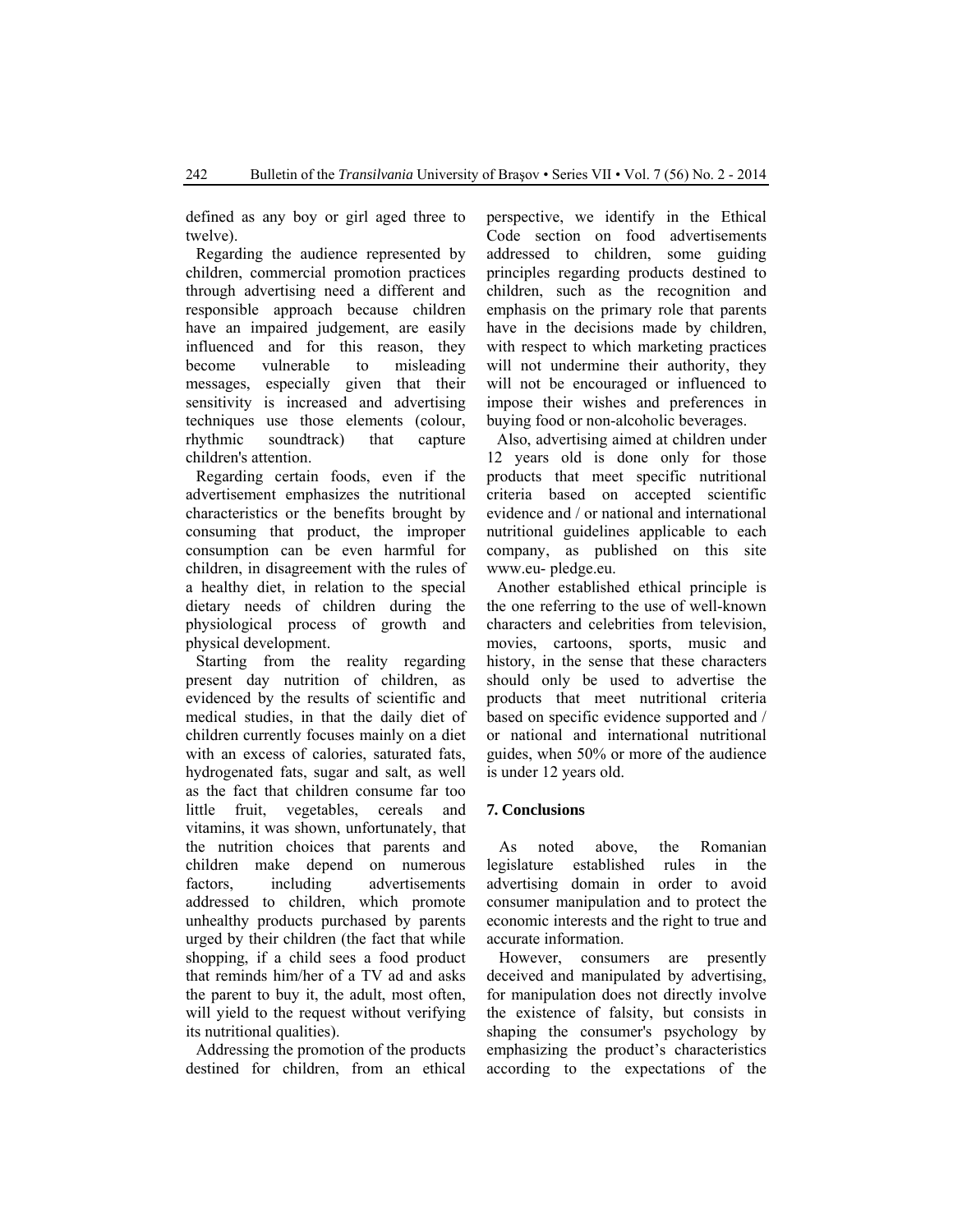defined as any boy or girl aged three to twelve).

Regarding the audience represented by children, commercial promotion practices through advertising need a different and responsible approach because children have an impaired judgement, are easily influenced and for this reason, they become vulnerable to misleading messages, especially given that their sensitivity is increased and advertising techniques use those elements (colour, rhythmic soundtrack) that capture children's attention.

Regarding certain foods, even if the advertisement emphasizes the nutritional characteristics or the benefits brought by consuming that product, the improper consumption can be even harmful for children, in disagreement with the rules of a healthy diet, in relation to the special dietary needs of children during the physiological process of growth and physical development.

Starting from the reality regarding present day nutrition of children, as evidenced by the results of scientific and medical studies, in that the daily diet of children currently focuses mainly on a diet with an excess of calories, saturated fats, hydrogenated fats, sugar and salt, as well as the fact that children consume far too little fruit, vegetables, cereals and vitamins, it was shown, unfortunately, that the nutrition choices that parents and children make depend on numerous factors, including advertisements addressed to children, which promote unhealthy products purchased by parents urged by their children (the fact that while shopping, if a child sees a food product that reminds him/her of a TV ad and asks the parent to buy it, the adult, most often, will yield to the request without verifying its nutritional qualities).

Addressing the promotion of the products destined for children, from an ethical perspective, we identify in the Ethical Code section on food advertisements addressed to children, some guiding principles regarding products destined to children, such as the recognition and emphasis on the primary role that parents have in the decisions made by children, with respect to which marketing practices will not undermine their authority, they will not be encouraged or influenced to impose their wishes and preferences in buying food or non-alcoholic beverages.

Also, advertising aimed at children under 12 years old is done only for those products that meet specific nutritional criteria based on accepted scientific evidence and / or national and international nutritional guidelines applicable to each company, as published on this site www.eu- pledge.eu.

Another established ethical principle is the one referring to the use of well-known characters and celebrities from television, movies, cartoons, sports, music and history, in the sense that these characters should only be used to advertise the products that meet nutritional criteria based on specific evidence supported and / or national and international nutritional guides, when 50% or more of the audience is under 12 years old.

#### **7. Conclusions**

As noted above, the Romanian legislature established rules in the advertising domain in order to avoid consumer manipulation and to protect the economic interests and the right to true and accurate information.

However, consumers are presently deceived and manipulated by advertising, for manipulation does not directly involve the existence of falsity, but consists in shaping the consumer's psychology by emphasizing the product's characteristics according to the expectations of the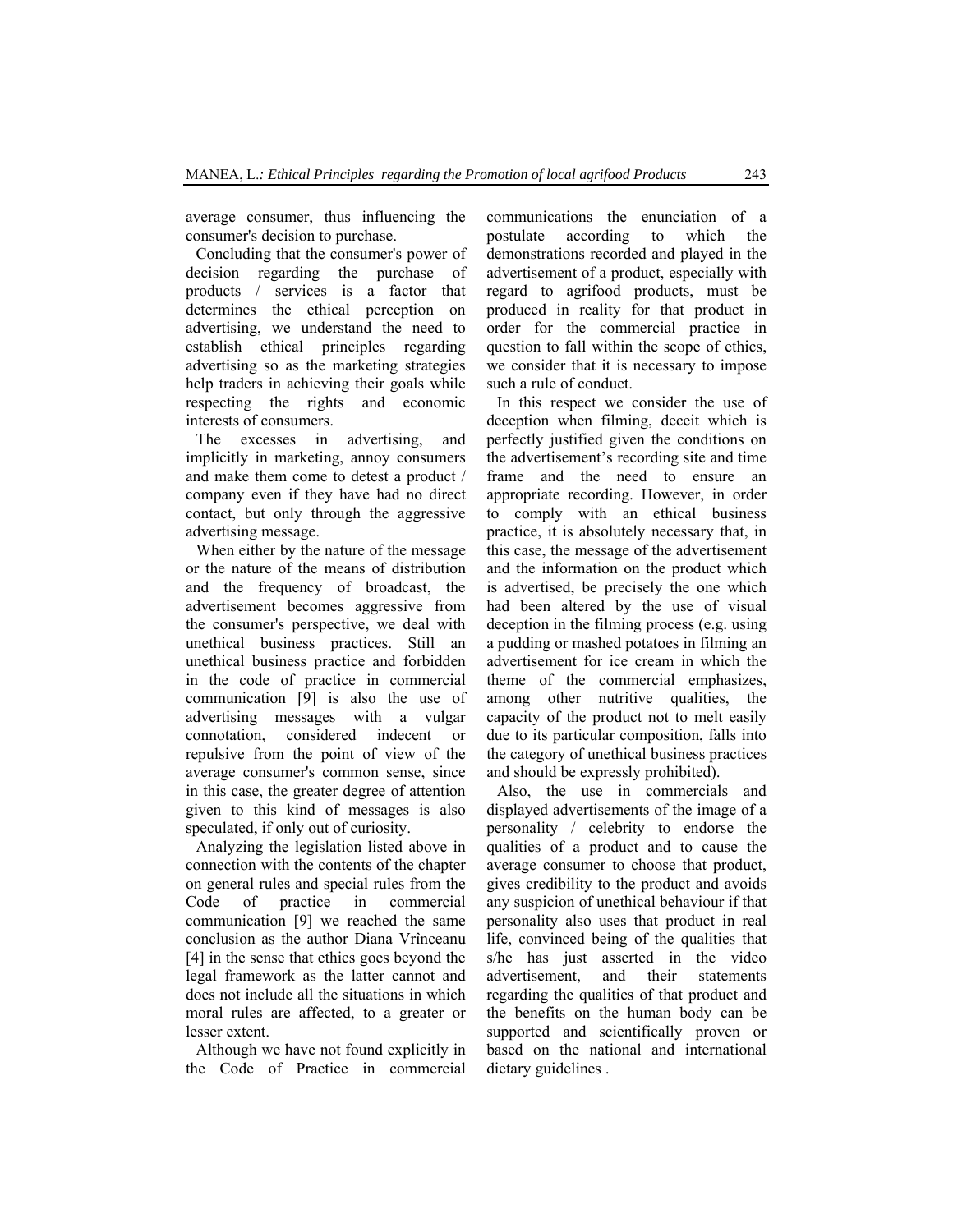average consumer, thus influencing the consumer's decision to purchase.

Concluding that the consumer's power of decision regarding the purchase of products / services is a factor that determines the ethical perception on advertising, we understand the need to establish ethical principles regarding advertising so as the marketing strategies help traders in achieving their goals while respecting the rights and economic interests of consumers.

The excesses in advertising, and implicitly in marketing, annoy consumers and make them come to detest a product / company even if they have had no direct contact, but only through the aggressive advertising message.

When either by the nature of the message or the nature of the means of distribution and the frequency of broadcast, the advertisement becomes aggressive from the consumer's perspective, we deal with unethical business practices. Still an unethical business practice and forbidden in the code of practice in commercial communication [9] is also the use of advertising messages with a vulgar connotation, considered indecent or repulsive from the point of view of the average consumer's common sense, since in this case, the greater degree of attention given to this kind of messages is also speculated, if only out of curiosity.

Analyzing the legislation listed above in connection with the contents of the chapter on general rules and special rules from the Code of practice in commercial communication [9] we reached the same conclusion as the author Diana Vrînceanu [4] in the sense that ethics goes beyond the legal framework as the latter cannot and does not include all the situations in which moral rules are affected, to a greater or lesser extent.

Although we have not found explicitly in the Code of Practice in commercial communications the enunciation of a postulate according to which the demonstrations recorded and played in the advertisement of a product, especially with regard to agrifood products, must be produced in reality for that product in order for the commercial practice in question to fall within the scope of ethics, we consider that it is necessary to impose such a rule of conduct.

In this respect we consider the use of deception when filming, deceit which is perfectly justified given the conditions on the advertisement's recording site and time frame and the need to ensure an appropriate recording. However, in order to comply with an ethical business practice, it is absolutely necessary that, in this case, the message of the advertisement and the information on the product which is advertised, be precisely the one which had been altered by the use of visual deception in the filming process (e.g. using a pudding or mashed potatoes in filming an advertisement for ice cream in which the theme of the commercial emphasizes, among other nutritive qualities, the capacity of the product not to melt easily due to its particular composition, falls into the category of unethical business practices and should be expressly prohibited).

Also, the use in commercials and displayed advertisements of the image of a personality / celebrity to endorse the qualities of a product and to cause the average consumer to choose that product, gives credibility to the product and avoids any suspicion of unethical behaviour if that personality also uses that product in real life, convinced being of the qualities that s/he has just asserted in the video advertisement, and their statements regarding the qualities of that product and the benefits on the human body can be supported and scientifically proven or based on the national and international dietary guidelines .